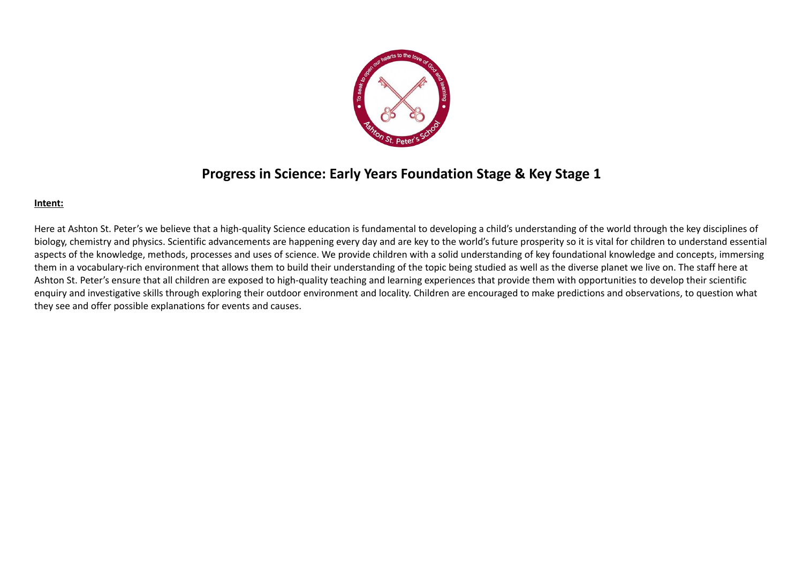

## **Progress in Science: Early Years Foundation Stage & Key Stage 1**

## **Intent:**

Here at Ashton St. Peter's we believe that a high-quality Science education is fundamental to developing a child's understanding of the world through the key disciplines of biology, chemistry and physics. Scientific advancements are happening every day and are key to the world's future prosperity so it is vital for children to understand essential aspects of the knowledge, methods, processes and uses of science. We provide children with a solid understanding of key foundational knowledge and concepts, immersing them in a vocabulary-rich environment that allows them to build their understanding of the topic being studied as well as the diverse planet we live on. The staff here at Ashton St. Peter's ensure that all children are exposed to high-quality teaching and learning experiences that provide them with opportunities to develop their scientific enquiry and investigative skills through exploring their outdoor environment and locality. Children are encouraged to make predictions and observations, to question what they see and offer possible explanations for events and causes.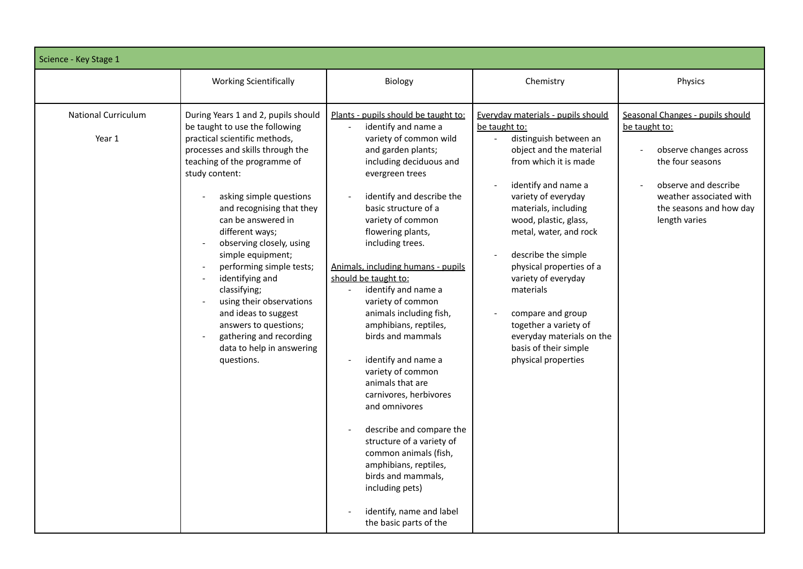| Science - Key Stage 1                |                                                                                                                                                                                                                                                                                                                                                                                                                                                                                                                                                                  |                                                                                                                                                                                                                                                                                                                                                                                                                                                                                                                                                                                                                                                                                                                                                                                                                       |                                                                                                                                                                                                                                                                                                                                                                                                                                                                                                |                                                                                                                                                                                                |
|--------------------------------------|------------------------------------------------------------------------------------------------------------------------------------------------------------------------------------------------------------------------------------------------------------------------------------------------------------------------------------------------------------------------------------------------------------------------------------------------------------------------------------------------------------------------------------------------------------------|-----------------------------------------------------------------------------------------------------------------------------------------------------------------------------------------------------------------------------------------------------------------------------------------------------------------------------------------------------------------------------------------------------------------------------------------------------------------------------------------------------------------------------------------------------------------------------------------------------------------------------------------------------------------------------------------------------------------------------------------------------------------------------------------------------------------------|------------------------------------------------------------------------------------------------------------------------------------------------------------------------------------------------------------------------------------------------------------------------------------------------------------------------------------------------------------------------------------------------------------------------------------------------------------------------------------------------|------------------------------------------------------------------------------------------------------------------------------------------------------------------------------------------------|
|                                      | <b>Working Scientifically</b>                                                                                                                                                                                                                                                                                                                                                                                                                                                                                                                                    | Biology                                                                                                                                                                                                                                                                                                                                                                                                                                                                                                                                                                                                                                                                                                                                                                                                               | Chemistry                                                                                                                                                                                                                                                                                                                                                                                                                                                                                      | Physics                                                                                                                                                                                        |
| <b>National Curriculum</b><br>Year 1 | During Years 1 and 2, pupils should<br>be taught to use the following<br>practical scientific methods,<br>processes and skills through the<br>teaching of the programme of<br>study content:<br>asking simple questions<br>and recognising that they<br>can be answered in<br>different ways;<br>observing closely, using<br>simple equipment;<br>performing simple tests;<br>identifying and<br>classifying;<br>using their observations<br>and ideas to suggest<br>answers to questions;<br>gathering and recording<br>data to help in answering<br>questions. | Plants - pupils should be taught to:<br>identify and name a<br>$\bar{\phantom{a}}$<br>variety of common wild<br>and garden plants;<br>including deciduous and<br>evergreen trees<br>identify and describe the<br>basic structure of a<br>variety of common<br>flowering plants,<br>including trees.<br>Animals, including humans - pupils<br>should be taught to:<br>identify and name a<br>variety of common<br>animals including fish,<br>amphibians, reptiles,<br>birds and mammals<br>identify and name a<br>$\sim$<br>variety of common<br>animals that are<br>carnivores, herbivores<br>and omnivores<br>describe and compare the<br>structure of a variety of<br>common animals (fish,<br>amphibians, reptiles,<br>birds and mammals.<br>including pets)<br>identify, name and label<br>the basic parts of the | Everyday materials - pupils should<br>be taught to:<br>distinguish between an<br>$\overline{a}$<br>object and the material<br>from which it is made<br>identify and name a<br>variety of everyday<br>materials, including<br>wood, plastic, glass,<br>metal, water, and rock<br>describe the simple<br>physical properties of a<br>variety of everyday<br>materials<br>compare and group<br>together a variety of<br>everyday materials on the<br>basis of their simple<br>physical properties | Seasonal Changes - pupils should<br>be taught to:<br>observe changes across<br>the four seasons<br>observe and describe<br>weather associated with<br>the seasons and how day<br>length varies |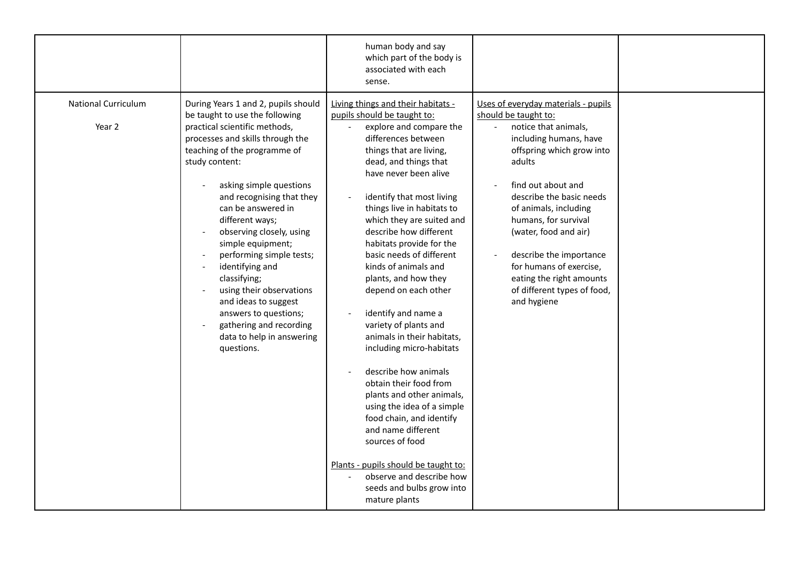|                                      |                                                                                                                                                                                                                                                                                                                                                                                                                                                                                                                                                                  | human body and say<br>which part of the body is<br>associated with each<br>sense.                                                                                                                                                                                                                                                                                                                                                                                                                                                                                                                                                                                                                                                                                                                                                                                                                                        |                                                                                                                                                                                                                                                                                                                                                                                                                  |  |
|--------------------------------------|------------------------------------------------------------------------------------------------------------------------------------------------------------------------------------------------------------------------------------------------------------------------------------------------------------------------------------------------------------------------------------------------------------------------------------------------------------------------------------------------------------------------------------------------------------------|--------------------------------------------------------------------------------------------------------------------------------------------------------------------------------------------------------------------------------------------------------------------------------------------------------------------------------------------------------------------------------------------------------------------------------------------------------------------------------------------------------------------------------------------------------------------------------------------------------------------------------------------------------------------------------------------------------------------------------------------------------------------------------------------------------------------------------------------------------------------------------------------------------------------------|------------------------------------------------------------------------------------------------------------------------------------------------------------------------------------------------------------------------------------------------------------------------------------------------------------------------------------------------------------------------------------------------------------------|--|
| <b>National Curriculum</b><br>Year 2 | During Years 1 and 2, pupils should<br>be taught to use the following<br>practical scientific methods,<br>processes and skills through the<br>teaching of the programme of<br>study content:<br>asking simple questions<br>and recognising that they<br>can be answered in<br>different ways;<br>observing closely, using<br>simple equipment;<br>performing simple tests;<br>identifying and<br>classifying;<br>using their observations<br>and ideas to suggest<br>answers to questions;<br>gathering and recording<br>data to help in answering<br>questions. | Living things and their habitats -<br>pupils should be taught to:<br>explore and compare the<br>$\overline{\phantom{a}}$<br>differences between<br>things that are living,<br>dead, and things that<br>have never been alive<br>identify that most living<br>$\overline{\phantom{a}}$<br>things live in habitats to<br>which they are suited and<br>describe how different<br>habitats provide for the<br>basic needs of different<br>kinds of animals and<br>plants, and how they<br>depend on each other<br>identify and name a<br>variety of plants and<br>animals in their habitats,<br>including micro-habitats<br>describe how animals<br>obtain their food from<br>plants and other animals,<br>using the idea of a simple<br>food chain, and identify<br>and name different<br>sources of food<br>Plants - pupils should be taught to:<br>observe and describe how<br>seeds and bulbs grow into<br>mature plants | Uses of everyday materials - pupils<br>should be taught to:<br>notice that animals,<br>including humans, have<br>offspring which grow into<br>adults<br>find out about and<br>describe the basic needs<br>of animals, including<br>humans, for survival<br>(water, food and air)<br>describe the importance<br>for humans of exercise,<br>eating the right amounts<br>of different types of food,<br>and hygiene |  |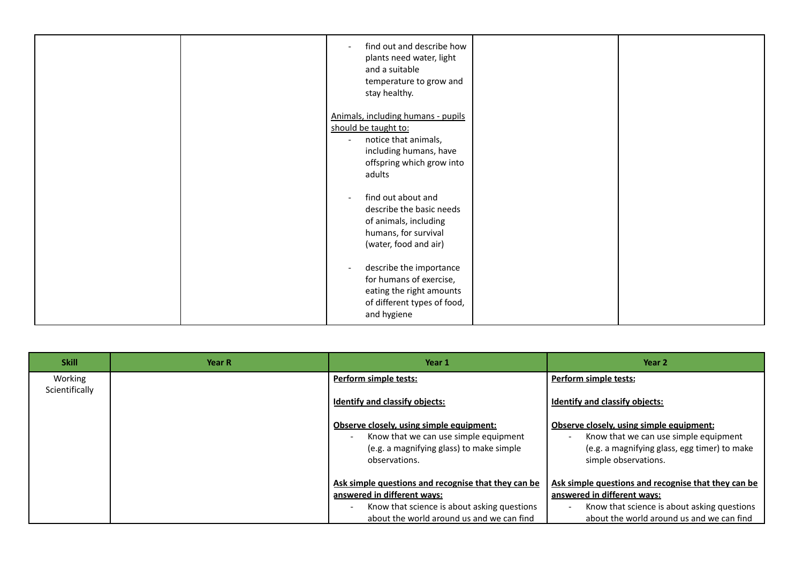|  | find out and describe how<br>plants need water, light<br>and a suitable<br>temperature to grow and<br>stay healthy.                                                             |  |
|--|---------------------------------------------------------------------------------------------------------------------------------------------------------------------------------|--|
|  | Animals, including humans - pupils<br>should be taught to:<br>notice that animals,<br>$\overline{\phantom{a}}$<br>including humans, have<br>offspring which grow into<br>adults |  |
|  | find out about and<br>describe the basic needs<br>of animals, including<br>humans, for survival<br>(water, food and air)                                                        |  |
|  | describe the importance<br>for humans of exercise,<br>eating the right amounts<br>of different types of food,<br>and hygiene                                                    |  |

| <b>Skill</b>   | Year R | Year 1                                              | Year 2                                              |
|----------------|--------|-----------------------------------------------------|-----------------------------------------------------|
| Working        |        | Perform simple tests:                               | <b>Perform simple tests:</b>                        |
| Scientifically |        | <b>Identify and classify objects:</b>               | <b>Identify and classify objects:</b>               |
|                |        | Observe closely, using simple equipment:            | Observe closely, using simple equipment:            |
|                |        | Know that we can use simple equipment               | Know that we can use simple equipment               |
|                |        | (e.g. a magnifying glass) to make simple            | (e.g. a magnifying glass, egg timer) to make        |
|                |        | observations.                                       | simple observations.                                |
|                |        | Ask simple questions and recognise that they can be | Ask simple questions and recognise that they can be |
|                |        | answered in different ways:                         | answered in different ways:                         |
|                |        | Know that science is about asking questions         | Know that science is about asking questions         |
|                |        | about the world around us and we can find           | about the world around us and we can find           |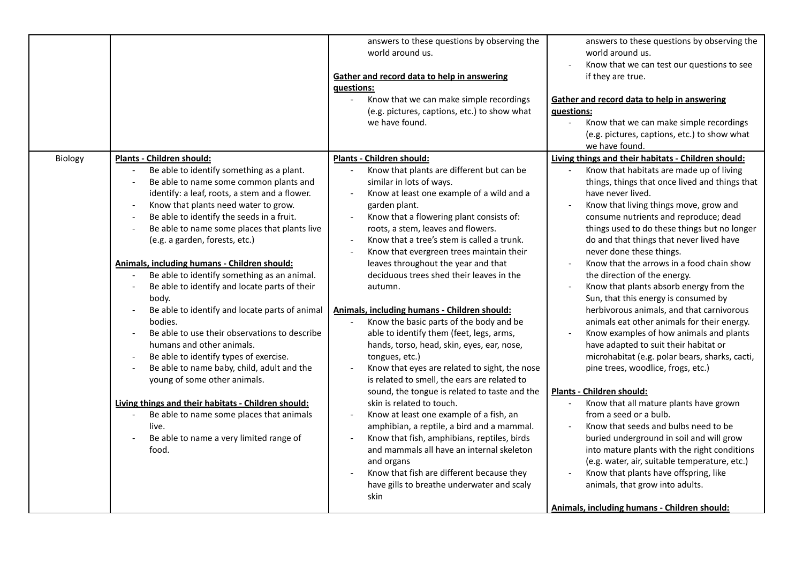| Be able to identify something as a plant.<br>Know that plants are different but can be<br>Know that habitats are made up of living<br>Be able to name some common plants and<br>things, things that once lived and things that<br>similar in lots of ways.<br>identify: a leaf, roots, a stem and a flower.<br>Know at least one example of a wild and a<br>have never lived.<br>Know that plants need water to grow.<br>garden plant.<br>Know that living things move, grow and<br>Be able to identify the seeds in a fruit.<br>Know that a flowering plant consists of:<br>consume nutrients and reproduce; dead<br>roots, a stem, leaves and flowers.<br>Be able to name some places that plants live<br>things used to do these things but no longer<br>Know that a tree's stem is called a trunk.<br>do and that things that never lived have<br>(e.g. a garden, forests, etc.)<br>Know that evergreen trees maintain their<br>never done these things.<br>Know that the arrows in a food chain show<br>Animals, including humans - Children should:<br>leaves throughout the year and that<br>Be able to identify something as an animal.<br>deciduous trees shed their leaves in the<br>the direction of the energy.<br>Be able to identify and locate parts of their<br>Know that plants absorb energy from the<br>autumn.<br>Sun, that this energy is consumed by<br>body.<br>herbivorous animals, and that carnivorous<br>Be able to identify and locate parts of animal<br>Animals, including humans - Children should:<br>Know the basic parts of the body and be<br>bodies.<br>animals eat other animals for their energy.<br>Be able to use their observations to describe<br>able to identify them (feet, legs, arms,<br>Know examples of how animals and plants<br>humans and other animals.<br>have adapted to suit their habitat or<br>hands, torso, head, skin, eyes, ear, nose,<br>Be able to identify types of exercise.<br>microhabitat (e.g. polar bears, sharks, cacti,<br>tongues, etc.)<br>$\overline{\phantom{a}}$<br>Be able to name baby, child, adult and the<br>Know that eyes are related to sight, the nose<br>pine trees, woodlice, frogs, etc.)<br>young of some other animals.<br>is related to smell, the ears are related to<br>sound, the tongue is related to taste and the<br>Plants - Children should:<br>Living things and their habitats - Children should:<br>Know that all mature plants have grown<br>skin is related to touch.<br>from a seed or a bulb.<br>Be able to name some places that animals<br>Know at least one example of a fish, an<br>amphibian, a reptile, a bird and a mammal.<br>Know that seeds and bulbs need to be<br>live.<br>Know that fish, amphibians, reptiles, birds<br>Be able to name a very limited range of<br>buried underground in soil and will grow<br>and mammals all have an internal skeleton<br>into mature plants with the right conditions<br>food.<br>(e.g. water, air, suitable temperature, etc.)<br>and organs<br>Know that fish are different because they<br>Know that plants have offspring, like<br>have gills to breathe underwater and scaly<br>animals, that grow into adults. |         |                                  | answers to these questions by observing the<br>world around us.<br>Gather and record data to help in answering<br>questions:<br>Know that we can make simple recordings<br>(e.g. pictures, captions, etc.) to show what<br>we have found. | answers to these questions by observing the<br>world around us.<br>Know that we can test our questions to see<br>if they are true.<br>Gather and record data to help in answering<br>guestions:<br>Know that we can make simple recordings<br>(e.g. pictures, captions, etc.) to show what<br>we have found. |
|----------------------------------------------------------------------------------------------------------------------------------------------------------------------------------------------------------------------------------------------------------------------------------------------------------------------------------------------------------------------------------------------------------------------------------------------------------------------------------------------------------------------------------------------------------------------------------------------------------------------------------------------------------------------------------------------------------------------------------------------------------------------------------------------------------------------------------------------------------------------------------------------------------------------------------------------------------------------------------------------------------------------------------------------------------------------------------------------------------------------------------------------------------------------------------------------------------------------------------------------------------------------------------------------------------------------------------------------------------------------------------------------------------------------------------------------------------------------------------------------------------------------------------------------------------------------------------------------------------------------------------------------------------------------------------------------------------------------------------------------------------------------------------------------------------------------------------------------------------------------------------------------------------------------------------------------------------------------------------------------------------------------------------------------------------------------------------------------------------------------------------------------------------------------------------------------------------------------------------------------------------------------------------------------------------------------------------------------------------------------------------------------------------------------------------------------------------------------------------------------------------------------------------------------------------------------------------------------------------------------------------------------------------------------------------------------------------------------------------------------------------------------------------------------------------------------------------------------------------------------------------------------------------------------------------------------------------------------------------------------------------------------------------------------------------------------------------------------------------------------------------------------------------------------------------|---------|----------------------------------|-------------------------------------------------------------------------------------------------------------------------------------------------------------------------------------------------------------------------------------------|--------------------------------------------------------------------------------------------------------------------------------------------------------------------------------------------------------------------------------------------------------------------------------------------------------------|
| Animals, including humans - Children should:                                                                                                                                                                                                                                                                                                                                                                                                                                                                                                                                                                                                                                                                                                                                                                                                                                                                                                                                                                                                                                                                                                                                                                                                                                                                                                                                                                                                                                                                                                                                                                                                                                                                                                                                                                                                                                                                                                                                                                                                                                                                                                                                                                                                                                                                                                                                                                                                                                                                                                                                                                                                                                                                                                                                                                                                                                                                                                                                                                                                                                                                                                                                     | Biology | <b>Plants - Children should:</b> | Plants - Children should:<br>skin                                                                                                                                                                                                         | Living things and their habitats - Children should:                                                                                                                                                                                                                                                          |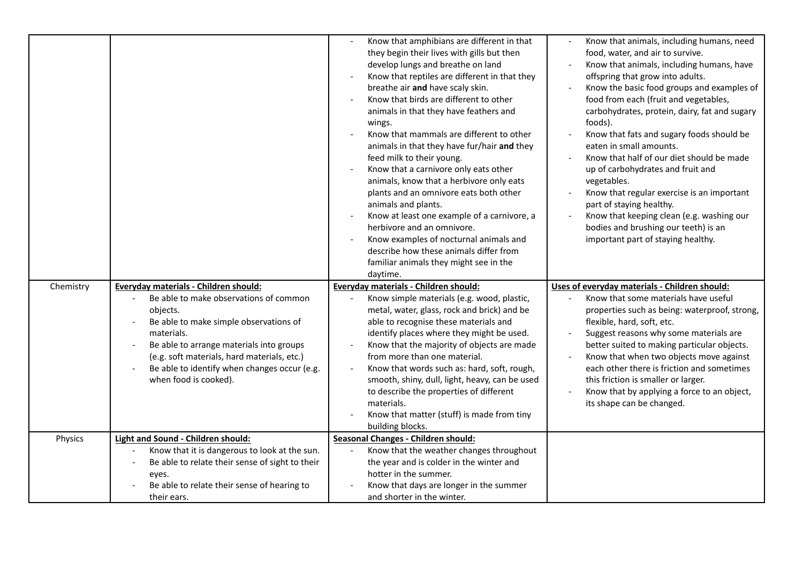|           |                                                                                                  | Know that amphibians are different in that<br>they begin their lives with gills but then<br>develop lungs and breathe on land<br>Know that reptiles are different in that they<br>breathe air and have scaly skin.<br>Know that birds are different to other<br>animals in that they have feathers and<br>wings.<br>Know that mammals are different to other<br>animals in that they have fur/hair and they<br>feed milk to their young.<br>Know that a carnivore only eats other<br>animals, know that a herbivore only eats<br>plants and an omnivore eats both other<br>animals and plants.<br>Know at least one example of a carnivore, a<br>herbivore and an omnivore.<br>Know examples of nocturnal animals and<br>describe how these animals differ from<br>familiar animals they might see in the<br>daytime. | Know that animals, including humans, need<br>food, water, and air to survive.<br>Know that animals, including humans, have<br>offspring that grow into adults.<br>Know the basic food groups and examples of<br>food from each (fruit and vegetables,<br>carbohydrates, protein, dairy, fat and sugary<br>foods).<br>Know that fats and sugary foods should be<br>eaten in small amounts.<br>Know that half of our diet should be made<br>up of carbohydrates and fruit and<br>vegetables.<br>Know that regular exercise is an important<br>part of staying healthy.<br>Know that keeping clean (e.g. washing our<br>bodies and brushing our teeth) is an<br>important part of staying healthy. |
|-----------|--------------------------------------------------------------------------------------------------|-----------------------------------------------------------------------------------------------------------------------------------------------------------------------------------------------------------------------------------------------------------------------------------------------------------------------------------------------------------------------------------------------------------------------------------------------------------------------------------------------------------------------------------------------------------------------------------------------------------------------------------------------------------------------------------------------------------------------------------------------------------------------------------------------------------------------|-------------------------------------------------------------------------------------------------------------------------------------------------------------------------------------------------------------------------------------------------------------------------------------------------------------------------------------------------------------------------------------------------------------------------------------------------------------------------------------------------------------------------------------------------------------------------------------------------------------------------------------------------------------------------------------------------|
| Chemistry | Everyday materials - Children should:<br>Be able to make observations of common                  | Everyday materials - Children should:<br>Know simple materials (e.g. wood, plastic,                                                                                                                                                                                                                                                                                                                                                                                                                                                                                                                                                                                                                                                                                                                                   | Uses of everyday materials - Children should:<br>Know that some materials have useful                                                                                                                                                                                                                                                                                                                                                                                                                                                                                                                                                                                                           |
|           | objects.                                                                                         | metal, water, glass, rock and brick) and be                                                                                                                                                                                                                                                                                                                                                                                                                                                                                                                                                                                                                                                                                                                                                                           | properties such as being: waterproof, strong,                                                                                                                                                                                                                                                                                                                                                                                                                                                                                                                                                                                                                                                   |
|           | Be able to make simple observations of<br>materials.                                             | able to recognise these materials and<br>identify places where they might be used.                                                                                                                                                                                                                                                                                                                                                                                                                                                                                                                                                                                                                                                                                                                                    | flexible, hard, soft, etc.<br>Suggest reasons why some materials are                                                                                                                                                                                                                                                                                                                                                                                                                                                                                                                                                                                                                            |
|           | Be able to arrange materials into groups                                                         | Know that the majority of objects are made                                                                                                                                                                                                                                                                                                                                                                                                                                                                                                                                                                                                                                                                                                                                                                            | better suited to making particular objects.                                                                                                                                                                                                                                                                                                                                                                                                                                                                                                                                                                                                                                                     |
|           | (e.g. soft materials, hard materials, etc.)                                                      | from more than one material.                                                                                                                                                                                                                                                                                                                                                                                                                                                                                                                                                                                                                                                                                                                                                                                          | Know that when two objects move against                                                                                                                                                                                                                                                                                                                                                                                                                                                                                                                                                                                                                                                         |
|           | Be able to identify when changes occur (e.g.<br>when food is cooked).                            | Know that words such as: hard, soft, rough,<br>smooth, shiny, dull, light, heavy, can be used                                                                                                                                                                                                                                                                                                                                                                                                                                                                                                                                                                                                                                                                                                                         | each other there is friction and sometimes<br>this friction is smaller or larger.                                                                                                                                                                                                                                                                                                                                                                                                                                                                                                                                                                                                               |
|           |                                                                                                  | to describe the properties of different                                                                                                                                                                                                                                                                                                                                                                                                                                                                                                                                                                                                                                                                                                                                                                               | Know that by applying a force to an object,                                                                                                                                                                                                                                                                                                                                                                                                                                                                                                                                                                                                                                                     |
|           |                                                                                                  | materials.                                                                                                                                                                                                                                                                                                                                                                                                                                                                                                                                                                                                                                                                                                                                                                                                            | its shape can be changed.                                                                                                                                                                                                                                                                                                                                                                                                                                                                                                                                                                                                                                                                       |
|           |                                                                                                  | Know that matter (stuff) is made from tiny                                                                                                                                                                                                                                                                                                                                                                                                                                                                                                                                                                                                                                                                                                                                                                            |                                                                                                                                                                                                                                                                                                                                                                                                                                                                                                                                                                                                                                                                                                 |
|           |                                                                                                  | building blocks.                                                                                                                                                                                                                                                                                                                                                                                                                                                                                                                                                                                                                                                                                                                                                                                                      |                                                                                                                                                                                                                                                                                                                                                                                                                                                                                                                                                                                                                                                                                                 |
| Physics   | Light and Sound - Children should:                                                               | <b>Seasonal Changes - Children should:</b>                                                                                                                                                                                                                                                                                                                                                                                                                                                                                                                                                                                                                                                                                                                                                                            |                                                                                                                                                                                                                                                                                                                                                                                                                                                                                                                                                                                                                                                                                                 |
|           | Know that it is dangerous to look at the sun.<br>Be able to relate their sense of sight to their | Know that the weather changes throughout<br>the year and is colder in the winter and                                                                                                                                                                                                                                                                                                                                                                                                                                                                                                                                                                                                                                                                                                                                  |                                                                                                                                                                                                                                                                                                                                                                                                                                                                                                                                                                                                                                                                                                 |
|           | eyes.                                                                                            | hotter in the summer.                                                                                                                                                                                                                                                                                                                                                                                                                                                                                                                                                                                                                                                                                                                                                                                                 |                                                                                                                                                                                                                                                                                                                                                                                                                                                                                                                                                                                                                                                                                                 |
|           | Be able to relate their sense of hearing to                                                      | Know that days are longer in the summer                                                                                                                                                                                                                                                                                                                                                                                                                                                                                                                                                                                                                                                                                                                                                                               |                                                                                                                                                                                                                                                                                                                                                                                                                                                                                                                                                                                                                                                                                                 |
|           | their ears.                                                                                      | and shorter in the winter.                                                                                                                                                                                                                                                                                                                                                                                                                                                                                                                                                                                                                                                                                                                                                                                            |                                                                                                                                                                                                                                                                                                                                                                                                                                                                                                                                                                                                                                                                                                 |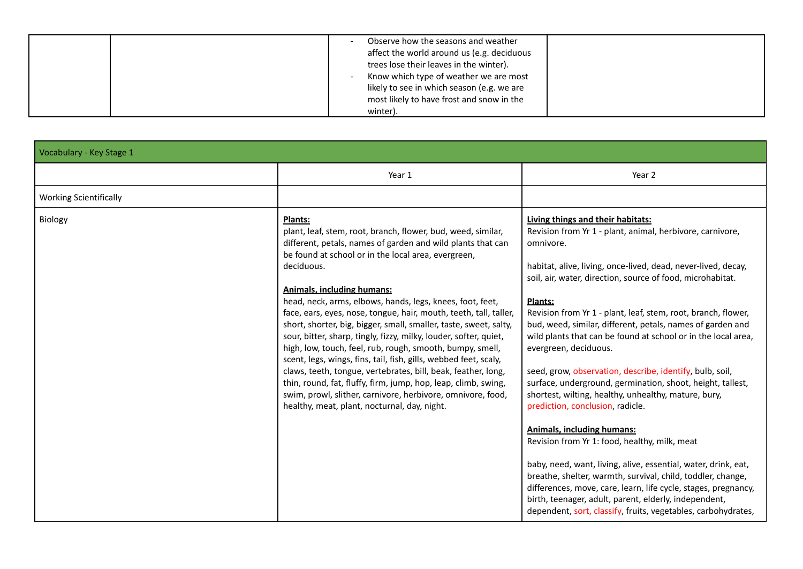| Observe how the seasons and weather<br>affect the world around us (e.g. deciduous<br>trees lose their leaves in the winter).<br>Know which type of weather we are most |
|------------------------------------------------------------------------------------------------------------------------------------------------------------------------|
| likely to see in which season (e.g. we are<br>most likely to have frost and snow in the<br>winter).                                                                    |

| Vocabulary - Key Stage 1      |                                                                                                                                                                                                                                                                                                                                                                                                                                                                                                                                                                                                                                                                                                                                                                                                                                                                                                                 |                                                                                                                                                                                                                                                                                                                                                                                                                                                                                                                                                                                                                                                                                                                                                                                                                                                                                                                                                                                                                                                                                                                         |
|-------------------------------|-----------------------------------------------------------------------------------------------------------------------------------------------------------------------------------------------------------------------------------------------------------------------------------------------------------------------------------------------------------------------------------------------------------------------------------------------------------------------------------------------------------------------------------------------------------------------------------------------------------------------------------------------------------------------------------------------------------------------------------------------------------------------------------------------------------------------------------------------------------------------------------------------------------------|-------------------------------------------------------------------------------------------------------------------------------------------------------------------------------------------------------------------------------------------------------------------------------------------------------------------------------------------------------------------------------------------------------------------------------------------------------------------------------------------------------------------------------------------------------------------------------------------------------------------------------------------------------------------------------------------------------------------------------------------------------------------------------------------------------------------------------------------------------------------------------------------------------------------------------------------------------------------------------------------------------------------------------------------------------------------------------------------------------------------------|
|                               | Year 1                                                                                                                                                                                                                                                                                                                                                                                                                                                                                                                                                                                                                                                                                                                                                                                                                                                                                                          | Year 2                                                                                                                                                                                                                                                                                                                                                                                                                                                                                                                                                                                                                                                                                                                                                                                                                                                                                                                                                                                                                                                                                                                  |
| <b>Working Scientifically</b> |                                                                                                                                                                                                                                                                                                                                                                                                                                                                                                                                                                                                                                                                                                                                                                                                                                                                                                                 |                                                                                                                                                                                                                                                                                                                                                                                                                                                                                                                                                                                                                                                                                                                                                                                                                                                                                                                                                                                                                                                                                                                         |
| Biology                       | Plants:<br>plant, leaf, stem, root, branch, flower, bud, weed, similar,<br>different, petals, names of garden and wild plants that can<br>be found at school or in the local area, evergreen,<br>deciduous.<br><b>Animals, including humans:</b><br>head, neck, arms, elbows, hands, legs, knees, foot, feet,<br>face, ears, eyes, nose, tongue, hair, mouth, teeth, tall, taller,<br>short, shorter, big, bigger, small, smaller, taste, sweet, salty,<br>sour, bitter, sharp, tingly, fizzy, milky, louder, softer, quiet,<br>high, low, touch, feel, rub, rough, smooth, bumpy, smell,<br>scent, legs, wings, fins, tail, fish, gills, webbed feet, scaly,<br>claws, teeth, tongue, vertebrates, bill, beak, feather, long,<br>thin, round, fat, fluffy, firm, jump, hop, leap, climb, swing,<br>swim, prowl, slither, carnivore, herbivore, omnivore, food,<br>healthy, meat, plant, nocturnal, day, night. | Living things and their habitats:<br>Revision from Yr 1 - plant, animal, herbivore, carnivore,<br>omnivore.<br>habitat, alive, living, once-lived, dead, never-lived, decay,<br>soil, air, water, direction, source of food, microhabitat.<br>Plants:<br>Revision from Yr 1 - plant, leaf, stem, root, branch, flower,<br>bud, weed, similar, different, petals, names of garden and<br>wild plants that can be found at school or in the local area,<br>evergreen, deciduous.<br>seed, grow, observation, describe, identify, bulb, soil,<br>surface, underground, germination, shoot, height, tallest,<br>shortest, wilting, healthy, unhealthy, mature, bury,<br>prediction, conclusion, radicle.<br><b>Animals, including humans:</b><br>Revision from Yr 1: food, healthy, milk, meat<br>baby, need, want, living, alive, essential, water, drink, eat,<br>breathe, shelter, warmth, survival, child, toddler, change,<br>differences, move, care, learn, life cycle, stages, pregnancy,<br>birth, teenager, adult, parent, elderly, independent,<br>dependent, sort, classify, fruits, vegetables, carbohydrates, |